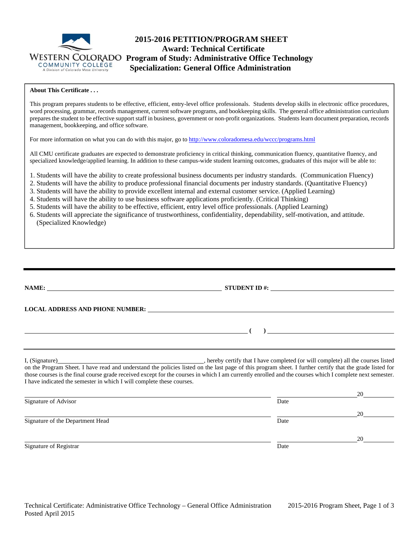

# **2015-2016 PETITION/PROGRAM SHEET Award: Technical Certificate WESTERN COLORADO Program of Study: Administrative Office Technology**<br>COMMUNITY COLLEGE **Specialization: General Office Administration Specialization: General Office Administration**

## **About This Certificate . . .**

This program prepares students to be effective, efficient, entry-level office professionals. Students develop skills in electronic office procedures, word processing, grammar, records management, current software programs, and bookkeeping skills. The general office administration curriculum prepares the student to be effective support staff in business, government or non-profit organizations. Students learn document preparation, records management, bookkeeping, and office software.

For more information on what you can do with this major, go to http://www.coloradomesa.edu/wccc/programs.html

All CMU certificate graduates are expected to demonstrate proficiency in critical thinking, communication fluency, quantitative fluency, and specialized knowledge/applied learning. In addition to these campus-wide student learning outcomes, graduates of this major will be able to:

1. Students will have the ability to create professional business documents per industry standards. (Communication Fluency)

- 2. Students will have the ability to produce professional financial documents per industry standards. (Quantitative Fluency)
- 3. Students will have the ability to provide excellent internal and external customer service. (Applied Learning)
- 4. Students will have the ability to use business software applications proficiently. (Critical Thinking)
- 5. Students will have the ability to be effective, efficient, entry level office professionals. (Applied Learning)
- 6. Students will appreciate the significance of trustworthiness, confidentiality, dependability, self-motivation, and attitude. (Specialized Knowledge)

| NAME:                                                                 | STUDENT ID #: $\_$                                                                                                                                                                                                                                                                                                                 |
|-----------------------------------------------------------------------|------------------------------------------------------------------------------------------------------------------------------------------------------------------------------------------------------------------------------------------------------------------------------------------------------------------------------------|
|                                                                       | LOCAL ADDRESS AND PHONE NUMBER: University of the contract of the contract of the contract of the contract of the contract of the contract of the contract of the contract of the contract of the contract of the contract of                                                                                                      |
|                                                                       | $\overline{a}$ and $\overline{a}$ and $\overline{a}$ and $\overline{a}$ and $\overline{a}$ and $\overline{a}$ and $\overline{a}$ and $\overline{a}$ and $\overline{a}$ and $\overline{a}$ and $\overline{a}$ and $\overline{a}$ and $\overline{a}$ and $\overline{a}$ and $\overline{a}$ and $\overline{a}$ and $\overline{a}$ and |
|                                                                       |                                                                                                                                                                                                                                                                                                                                    |
| I have indicated the semester in which I will complete these courses. | on the Program Sheet. I have read and understand the policies listed on the last page of this program sheet. I further certify that the grade listed for<br>those courses is the final course grade received except for the courses in which I am currently enrolled and the courses which I complete next semester.               |

|                                  |      | 20 |
|----------------------------------|------|----|
| Signature of Advisor             | Date |    |
|                                  |      | 20 |
| Signature of the Department Head | Date |    |
|                                  |      | 20 |
| Signature of Registrar           | Date |    |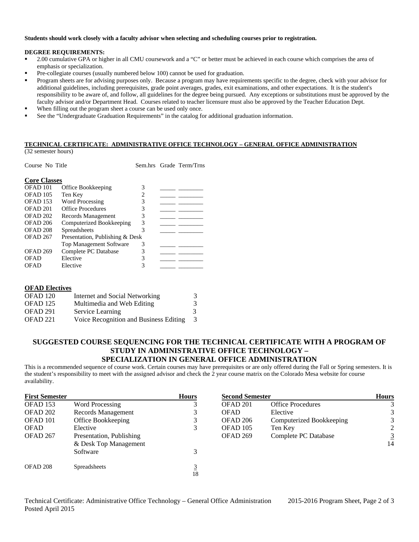### **Students should work closely with a faculty advisor when selecting and scheduling courses prior to registration.**

#### **DEGREE REQUIREMENTS:**

- <sup>2</sup> 2.00 cumulative GPA or higher in all CMU coursework and a "C" or better must be achieved in each course which comprises the area of emphasis or specialization.
- Pre-collegiate courses (usually numbered below 100) cannot be used for graduation.
- Program sheets are for advising purposes only. Because a program may have requirements specific to the degree, check with your advisor for additional guidelines, including prerequisites, grade point averages, grades, exit examinations, and other expectations. It is the student's responsibility to be aware of, and follow, all guidelines for the degree being pursued. Any exceptions or substitutions must be approved by the faculty advisor and/or Department Head. Courses related to teacher licensure must also be approved by the Teacher Education Dept.
- When filling out the program sheet a course can be used only once.
- See the "Undergraduate Graduation Requirements" in the catalog for additional graduation information.

## **TECHNICAL CERTIFICATE: ADMINISTRATIVE OFFICE TECHNOLOGY – GENERAL OFFICE ADMINISTRATION**

(32 semester hours)

| Course No Title                                        |                                |   | Sem.hrs Grade Term/Trns |
|--------------------------------------------------------|--------------------------------|---|-------------------------|
| <b>Core Classes</b>                                    |                                |   |                         |
| OFAD <sub>101</sub>                                    | Office Bookkeeping             | 3 |                         |
| OFAD <sub>105</sub>                                    | Ten Key                        | 2 |                         |
| <b>OFAD 153</b>                                        | <b>Word Processing</b>         | 3 |                         |
| OFAD <sub>201</sub>                                    | Office Procedures              | 3 |                         |
| OFAD 202                                               | Records Management             | 3 |                         |
| <b>OFAD 206</b>                                        | Computerized Bookkeeping       | 3 |                         |
| OFAD <sub>208</sub>                                    | Spreadsheets                   | 3 |                         |
| OFAD <sub>267</sub><br>Presentation, Publishing & Desk |                                |   |                         |
|                                                        | <b>Top Management Software</b> | 3 |                         |
| <b>OFAD 269</b>                                        | Complete PC Database           | 3 |                         |
| <b>OFAD</b>                                            | Elective                       | 3 |                         |
| OFAD                                                   | Elective                       |   |                         |

| <b>OFAD Electives</b> |                                        |               |
|-----------------------|----------------------------------------|---------------|
| OFAD <sub>120</sub>   | Internet and Social Networking         | 3.            |
| <b>OFAD</b> 125       | Multimedia and Web Editing             | 3             |
| OFAD 291              | Service Learning                       | $\mathcal{R}$ |
| OFAD 221              | Voice Recognition and Business Editing | 3             |

# **SUGGESTED COURSE SEQUENCING FOR THE TECHNICAL CERTIFICATE WITH A PROGRAM OF STUDY IN ADMINISTRATIVE OFFICE TECHNOLOGY – SPECIALIZATION IN GENERAL OFFICE ADMINISTRATION**

This is a recommended sequence of course work. Certain courses may have prerequisites or are only offered during the Fall or Spring semesters. It is the student's responsibility to meet with the assigned advisor and check the 2 year course matrix on the Colorado Mesa website for course availability.

| <b>First Semester</b> |                          | <b>Hours</b> | <b>Second Semester</b> |                          | <b>Hours</b>   |
|-----------------------|--------------------------|--------------|------------------------|--------------------------|----------------|
| OFAD <sub>153</sub>   | <b>Word Processing</b>   |              | OFAD 201               | <b>Office Procedures</b> | 3              |
| OFAD 202              | Records Management       | 3            | <b>OFAD</b>            | Elective                 | 3              |
| OFAD 101              | Office Bookkeeping       | 3            | OFAD 206               | Computerized Bookkeeping | 3              |
| <b>OFAD</b>           | Elective                 | 3            | OFAD 105               | Ten Key                  | 2              |
| OFAD 267              | Presentation, Publishing |              | OFAD <sub>269</sub>    | Complete PC Database     | $\overline{3}$ |
|                       | & Desk Top Management    |              |                        |                          | 14             |
|                       | Software                 | 3            |                        |                          |                |
| OFAD 208              | Spreadsheets             | 3<br>18      |                        |                          |                |